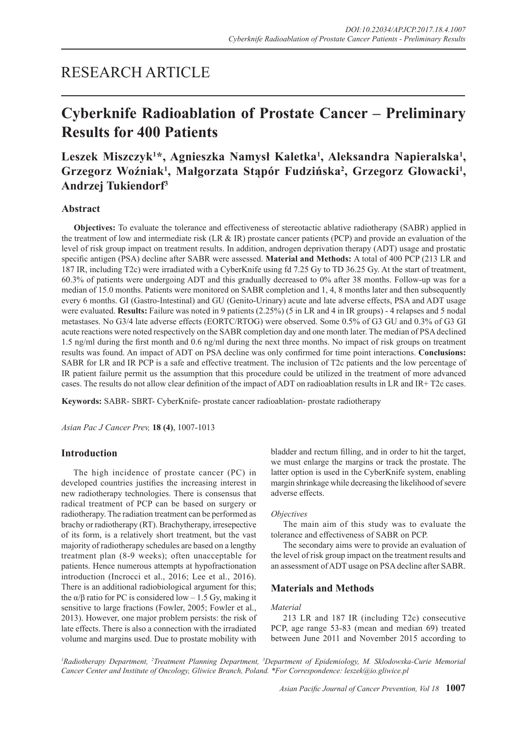## RESEARCH ARTICLE

# **Cyberknife Radioablation of Prostate Cancer – Preliminary Results for 400 Patients**

## Leszek Miszczyk<sup>1\*</sup>, Agnieszka Namysł Kaletka<sup>1</sup>, Aleksandra Napieralska<sup>1</sup>, Grzegorz Woźniak<sup>1</sup>, Małgorzata Stąpór Fudzińska<sup>2</sup>, Grzegorz Głowacki<sup>1</sup>, **Andrzej Tukiendorf3**

## **Abstract**

**Objectives:** To evaluate the tolerance and effectiveness of stereotactic ablative radiotherapy (SABR) applied in the treatment of low and intermediate risk (LR & IR) prostate cancer patients (PCP) and provide an evaluation of the level of risk group impact on treatment results. In addition, androgen deprivation therapy (ADT) usage and prostatic specific antigen (PSA) decline after SABR were assessed. **Material and Methods:** A total of 400 PCP (213 LR and 187 IR, including T2c) were irradiated with a CyberKnife using fd 7.25 Gy to TD 36.25 Gy. At the start of treatment, 60.3% of patients were undergoing ADT and this gradually decreased to 0% after 38 months. Follow-up was for a median of 15.0 months. Patients were monitored on SABR completion and 1, 4, 8 months later and then subsequently every 6 months. GI (Gastro-Intestinal) and GU (Genito-Urinary) acute and late adverse effects, PSA and ADT usage were evaluated. **Results:** Failure was noted in 9 patients (2.25%) (5 in LR and 4 in IR groups) - 4 relapses and 5 nodal metastases. No G3/4 late adverse effects (EORTC/RTOG) were observed. Some 0.5% of G3 GU and 0.3% of G3 GI acute reactions were noted respectively on the SABR completion day and one month later. The median of PSA declined 1.5 ng/ml during the first month and 0.6 ng/ml during the next three months. No impact of risk groups on treatment results was found. An impact of ADT on PSA decline was only confirmed for time point interactions. **Conclusions:**  SABR for LR and IR PCP is a safe and effective treatment. The inclusion of T2c patients and the low percentage of IR patient failure permit us the assumption that this procedure could be utilized in the treatment of more advanced cases. The results do not allow clear definition of the impact of ADT on radioablation results in LR and IR+ T2c cases.

**Keywords:** SABR- SBRT- CyberKnife- prostate cancer radioablation- prostate radiotherapy

*Asian Pac J Cancer Prev,* **18 (4)**, 1007-1013

## **Introduction**

The high incidence of prostate cancer (PC) in developed countries justifies the increasing interest in new radiotherapy technologies. There is consensus that radical treatment of PCP can be based on surgery or radiotherapy. The radiation treatment can be performed as brachy or radiotherapy (RT). Brachytherapy, irresepective of its form, is a relatively short treatment, but the vast majority of radiotherapy schedules are based on a lengthy treatment plan (8-9 weeks); often unacceptable for patients. Hence numerous attempts at hypofractionation introduction (Incrocci et al., 2016; Lee et al., 2016). There is an additional radiobiological argument for this; the α/β ratio for PC is considered low – 1.5 Gy, making it sensitive to large fractions (Fowler, 2005; Fowler et al., 2013). However, one major problem persists: the risk of late effects. There is also a connection with the irradiated volume and margins used. Due to prostate mobility with

bladder and rectum filling, and in order to hit the target, we must enlarge the margins or track the prostate. The latter option is used in the CyberKnife system, enabling margin shrinkage while decreasing the likelihood of severe adverse effects.

#### *Objectives*

The main aim of this study was to evaluate the tolerance and effectiveness of SABR on PCP.

The secondary aims were to provide an evaluation of the level of risk group impact on the treatment results and an assessment of ADT usage on PSA decline after SABR.

## **Materials and Methods**

#### *Material*

213 LR and 187 IR (including T2c) consecutive PCP, age range 53-83 (mean and median 69) treated between June 2011 and November 2015 according to

<sup>1</sup> Radiotherapy Department, <sup>2</sup>Treatment Planning Department, <sup>3</sup>Department of Epidemiology, M. Sklodowska-Curie Memorial *Cancer Center and Institute of Oncology, Gliwice Branch, Poland. \*For Correspondence: leszek@io.gliwice.pl*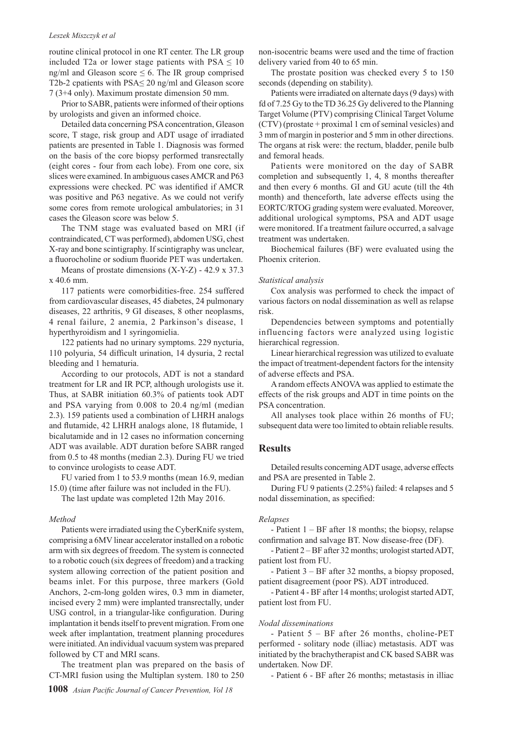#### *Leszek Miszczyk et al*

routine clinical protocol in one RT center. The LR group included T2a or lower stage patients with  $PSA \leq 10$ ng/ml and Gleason score  $\leq 6$ . The IR group comprised T2b-2 cpatients with PSA≤ 20 ng/ml and Gleason score 7 (3+4 only). Maximum prostate dimension 50 mm.

Prior to SABR, patients were informed of their options by urologists and given an informed choice.

Detailed data concerning PSA concentration, Gleason score, T stage, risk group and ADT usage of irradiated patients are presented in Table 1. Diagnosis was formed on the basis of the core biopsy performed transrectally (eight cores - four from each lobe). From one core, six slices were examined. In ambiguous cases AMCR and P63 expressions were checked. PC was identified if AMCR was positive and P63 negative. As we could not verify some cores from remote urological ambulatories; in 31 cases the Gleason score was below 5.

The TNM stage was evaluated based on MRI (if contraindicated, CT was performed), abdomen USG, chest X-ray and bone scintigraphy. If scintigraphy was unclear, a fluorocholine or sodium fluoride PET was undertaken.

Means of prostate dimensions (X-Y-Z) - 42.9 x 37.3 x 40.6 mm.

117 patients were comorbidities-free. 254 suffered from cardiovascular diseases, 45 diabetes, 24 pulmonary diseases, 22 arthritis, 9 GI diseases, 8 other neoplasms, 4 renal failure, 2 anemia, 2 Parkinson's disease, 1 hyperthyroidism and 1 syringomielia.

122 patients had no urinary symptoms. 229 nycturia, 110 polyuria, 54 difficult urination, 14 dysuria, 2 rectal bleeding and 1 hematuria.

According to our protocols, ADT is not a standard treatment for LR and IR PCP, although urologists use it. Thus, at SABR initiation 60.3% of patients took ADT and PSA varying from 0.008 to 20.4 ng/ml (median 2.3). 159 patients used a combination of LHRH analogs and flutamide, 42 LHRH analogs alone, 18 flutamide, 1 bicalutamide and in 12 cases no information concerning ADT was available. ADT duration before SABR ranged from 0.5 to 48 months (median 2.3). During FU we tried to convince urologists to cease ADT.

FU varied from 1 to 53.9 months (mean 16.9, median 15.0) (time after failure was not included in the FU).

The last update was completed 12th May 2016.

### *Method*

Patients were irradiated using the CyberKnife system, comprising a 6MV linear accelerator installed on a robotic arm with six degrees of freedom. The system is connected to a robotic couch (six degrees of freedom) and a tracking system allowing correction of the patient position and beams inlet. For this purpose, three markers (Gold Anchors, 2-cm-long golden wires, 0.3 mm in diameter, incised every 2 mm) were implanted transrectally, under USG control, in a triangular-like configuration. During implantation it bends itself to prevent migration. From one week after implantation, treatment planning procedures were initiated. An individual vacuum system was prepared followed by CT and MRI scans.

The treatment plan was prepared on the basis of CT-MRI fusion using the Multiplan system. 180 to 250

non-isocentric beams were used and the time of fraction delivery varied from 40 to 65 min.

The prostate position was checked every 5 to 150 seconds (depending on stability).

Patients were irradiated on alternate days (9 days) with fd of 7.25 Gy to the TD 36.25 Gy delivered to the Planning Target Volume (PTV) comprising Clinical Target Volume (CTV) (prostate + proximal 1 cm of seminal vesicles) and 3 mm of margin in posterior and 5 mm in other directions. The organs at risk were: the rectum, bladder, penile bulb and femoral heads.

Patients were monitored on the day of SABR completion and subsequently 1, 4, 8 months thereafter and then every 6 months. GI and GU acute (till the 4th month) and thenceforth, late adverse effects using the EORTC/RTOG grading system were evaluated. Moreover, additional urological symptoms, PSA and ADT usage were monitored. If a treatment failure occurred, a salvage treatment was undertaken.

Biochemical failures (BF) were evaluated using the Phoenix criterion.

#### *Statistical analysis*

Cox analysis was performed to check the impact of various factors on nodal dissemination as well as relapse risk.

Dependencies between symptoms and potentially influencing factors were analyzed using logistic hierarchical regression.

Linear hierarchical regression was utilized to evaluate the impact of treatment-dependent factors for the intensity of adverse effects and PSA.

A random effects ANOVA was applied to estimate the effects of the risk groups and ADT in time points on the PSA concentration.

All analyses took place within 26 months of FU; subsequent data were too limited to obtain reliable results.

## **Results**

Detailed results concerning ADT usage, adverse effects and PSA are presented in Table 2.

During FU 9 patients (2.25%) failed: 4 relapses and 5 nodal dissemination, as specified:

#### *Relapses*

- Patient 1 – BF after 18 months; the biopsy, relapse confirmation and salvage BT. Now disease-free (DF).

- Patient 2 – BF after 32 months; urologist started ADT, patient lost from FU.

- Patient 3 – BF after 32 months, a biopsy proposed, patient disagreement (poor PS). ADT introduced.

- Patient 4 - BF after 14 months; urologist started ADT, patient lost from FU.

#### *Nodal disseminations*

- Patient 5 – BF after 26 months, choline-PET performed - solitary node (illiac) metastasis. ADT was initiated by the brachytherapist and CK based SABR was undertaken. Now DF.

- Patient 6 - BF after 26 months; metastasis in illiac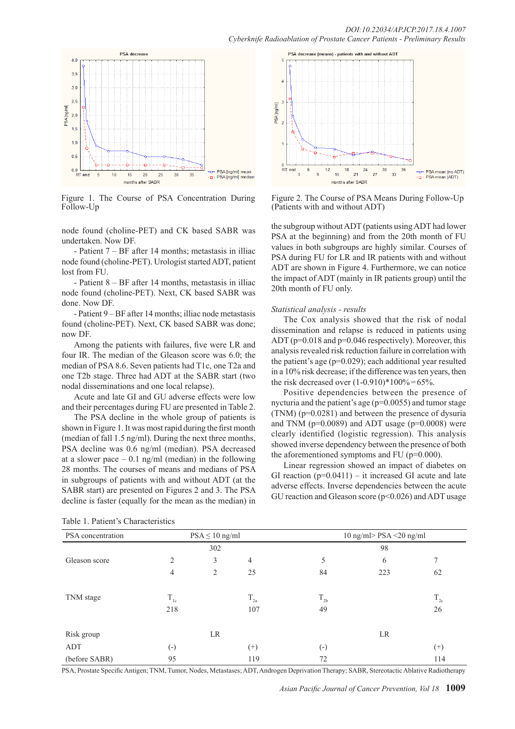

Figure 1. The Course of PSA Concentration During Follow-Up

node found (choline-PET) and CK based SABR was undertaken. Now DF.

- Patient 7 – BF after 14 months; metastasis in illiac node found (choline-PET). Urologist started ADT, patient lost from FU.

- Patient 8 – BF after 14 months, metastasis in illiac node found (choline-PET). Next, CK based SABR was done. Now DF.

- Patient 9 – BF after 14 months; illiac node metastasis found (choline-PET). Next, CK based SABR was done; now DF.

Among the patients with failures, five were LR and four IR. The median of the Gleason score was 6.0; the median of PSA 8.6. Seven patients had T1c, one T2a and one T2b stage. Three had ADT at the SABR start (two nodal disseminations and one local relapse).

Acute and late GI and GU adverse effects were low and their percentages during FU are presented in Table 2.

The PSA decline in the whole group of patients is shown in Figure 1. It was most rapid during the first month (median of fall 1.5 ng/ml). During the next three months, PSA decline was 0.6 ng/ml (median). PSA decreased at a slower pace  $-0.1$  ng/ml (median) in the following 28 months. The courses of means and medians of PSA in subgroups of patients with and without ADT (at the SABR start) are presented on Figures 2 and 3. The PSA decline is faster (equally for the mean as the median) in



Figure 2. The Course of PSA Means During Follow-Up (Patients with and without ADT)

the subgroup without ADT (patients using ADT had lower PSA at the beginning) and from the 20th month of FU values in both subgroups are highly similar. Courses of PSA during FU for LR and IR patients with and without ADT are shown in Figure 4. Furthermore, we can notice the impact of ADT (mainly in IR patients group) until the 20th month of FU only.

#### *Statistical analysis - results*

The Cox analysis showed that the risk of nodal dissemination and relapse is reduced in patients using ADT ( $p=0.018$  and  $p=0.046$  respectively). Moreover, this analysis revealed risk reduction failure in correlation with the patient's age (p=0.029); each additional year resulted in a 10% risk decrease; if the difference was ten years, then the risk decreased over  $(1-0.910)*100\% = 65\%$ .

Positive dependencies between the presence of nycturia and the patient's age (p=0.0055) and tumor stage (TNM) (p=0.0281) and between the presence of dysuria and TNM ( $p=0.0089$ ) and ADT usage ( $p=0.0008$ ) were clearly identified (logistic regression). This analysis showed inverse dependency between the presence of both the aforementioned symptoms and FU (p=0.000).

Linear regression showed an impact of diabetes on GI reaction  $(p=0.0411)$  – it increased GI acute and late adverse effects. Inverse dependencies between the acute GU reaction and Gleason score  $(p<0.026)$  and ADT usage

| PSA concentration |                   | $PSA \leq 10$ ng/ml |                 | 10 ng/ml> PSA <20 ng/ml<br>98 |     |                 |  |
|-------------------|-------------------|---------------------|-----------------|-------------------------------|-----|-----------------|--|
|                   |                   | 302                 |                 |                               |     |                 |  |
| Gleason score     | 2                 | 3                   | $\overline{4}$  | 5                             | 6   |                 |  |
|                   | 4                 | 2                   | 25              | 84                            | 223 | 62              |  |
| TNM stage         | $\rm T_{1c}$      |                     | $\rm T_{_{2a}}$ | $T_{2b}$                      |     | $\rm T_{_{2c}}$ |  |
|                   | 218               |                     | 107             | 49                            |     | 26              |  |
| Risk group        |                   | LR                  |                 |                               | LR  |                 |  |
| ADT               | $\left( -\right)$ |                     | $^{(+)}$        | $\left( -\right)$             |     | $^{(+)}$        |  |
| (before SABR)     | 95                |                     | 119             | 72                            |     | 114             |  |

Table 1. Patient's Characteristics

PSA, Prostate Specific Antigen; TNM, Tumor, Nodes, Metastases; ADT, Androgen Deprivation Therapy; SABR, Stereotactic Ablative Radiotherapy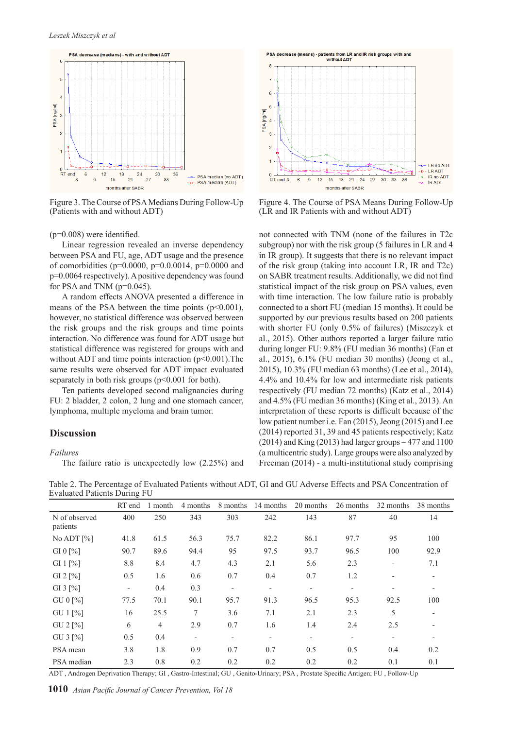

Figure 3. The Course of PSA Medians During Follow-Up (Patients with and without ADT)

 $(p=0.008)$  were identified.

Linear regression revealed an inverse dependency between PSA and FU, age, ADT usage and the presence of comorbidities ( $p=0.0000$ ,  $p=0.00014$ ,  $p=0.0000$  and p=0.0064 respectively). A positive dependency was found for PSA and TNM ( $p=0.045$ ).

A random effects ANOVA presented a difference in means of the PSA between the time points (p<0.001), however, no statistical difference was observed between the risk groups and the risk groups and time points interaction. No difference was found for ADT usage but statistical difference was registered for groups with and without ADT and time points interaction  $(p<0.001)$ . The same results were observed for ADT impact evaluated separately in both risk groups  $(p<0.001$  for both).

Ten patients developed second malignancies during FU: 2 bladder, 2 colon, 2 lung and one stomach cancer, lymphoma, multiple myeloma and brain tumor.

## **Discussion**

## *Failures*

The failure ratio is unexpectedly low (2.25%) and



Figure 4. The Course of PSA Means During Follow-Up (LR and IR Patients with and without ADT)

not connected with TNM (none of the failures in T2c subgroup) nor with the risk group (5 failures in LR and 4 in IR group). It suggests that there is no relevant impact of the risk group (taking into account LR, IR and T2c) on SABR treatment results. Additionally, we did not find statistical impact of the risk group on PSA values, even with time interaction. The low failure ratio is probably connected to a short FU (median 15 months). It could be supported by our previous results based on 200 patients with shorter FU (only 0.5% of failures) (Miszczyk et al., 2015). Other authors reported a larger failure ratio during longer FU: 9.8% (FU median 36 months) (Fan et al., 2015), 6.1% (FU median 30 months) (Jeong et al., 2015), 10.3% (FU median 63 months) (Lee et al., 2014), 4.4% and 10.4% for low and intermediate risk patients respectively (FU median 72 months) (Katz et al., 2014) and 4.5% (FU median 36 months) (King et al., 2013). An interpretation of these reports is difficult because of the low patient number i.e. Fan (2015), Jeong (2015) and Lee (2014) reported 31, 39 and 45 patients respectively; Katz  $(2014)$  and King  $(2013)$  had larger groups  $-477$  and  $1100$ (a multicentric study). Large groups were also analyzed by Freeman (2014) - a multi-institutional study comprising

|                           | RT end                   | month          | 4 months                 | 8 months                 | 14 months                | 20 months                | 26 months                | 32 months                | 38 months                |
|---------------------------|--------------------------|----------------|--------------------------|--------------------------|--------------------------|--------------------------|--------------------------|--------------------------|--------------------------|
| N of observed<br>patients | 400                      | 250            | 343                      | 303                      | 242                      | 143                      | 87                       | 40                       | 14                       |
| No ADT $[\%]$             | 41.8                     | 61.5           | 56.3                     | 75.7                     | 82.2                     | 86.1                     | 97.7                     | 95                       | 100                      |
| GI 0 $[%]$                | 90.7                     | 89.6           | 94.4                     | 95                       | 97.5                     | 93.7                     | 96.5                     | 100                      | 92.9                     |
| GI $1$ [%]                | 8.8                      | 8.4            | 4.7                      | 4.3                      | 2.1                      | 5.6                      | 2.3                      | $\overline{\phantom{a}}$ | 7.1                      |
| GI $2 \frac{9}{6}$        | 0.5                      | 1.6            | 0.6                      | 0.7                      | 0.4                      | 0.7                      | 1.2                      |                          |                          |
| GI 3 $[%]$                | $\overline{\phantom{a}}$ | 0.4            | 0.3                      | $\overline{\phantom{a}}$ | $\overline{\phantom{a}}$ | $\overline{\phantom{a}}$ | $\overline{\phantom{a}}$ |                          | $\overline{\phantom{a}}$ |
| GU 0 [%]                  | 77.5                     | 70.1           | 90.1                     | 95.7                     | 91.3                     | 96.5                     | 95.3                     | 92.5                     | 100                      |
| GU 1 [%]                  | 16                       | 25.5           | $\tau$                   | 3.6                      | 7.1                      | 2.1                      | 2.3                      | 5                        |                          |
| GU 2 [%]                  | 6                        | $\overline{4}$ | 2.9                      | 0.7                      | 1.6                      | 1.4                      | 2.4                      | 2.5                      |                          |
| GU $3$ [%]                | 0.5                      | 0.4            | $\overline{\phantom{a}}$ | ٠                        | $\overline{\phantom{a}}$ | $\overline{\phantom{a}}$ | $\blacksquare$           | $\overline{\phantom{a}}$ |                          |
| PSA mean                  | 3.8                      | 1.8            | 0.9                      | 0.7                      | 0.7                      | 0.5                      | 0.5                      | 0.4                      | 0.2                      |
| PSA median                | 2.3                      | 0.8            | 0.2                      | 0.2                      | 0.2                      | 0.2                      | 0.2                      | 0.1                      | 0.1                      |

Table 2. The Percentage of Evaluated Patients without ADT, GI and GU Adverse Effects and PSA Concentration of Evaluated Patients During FU

ADT , Androgen Deprivation Therapy; GI , Gastro-Intestinal; GU , Genito-Urinary; PSA , Prostate Specific Antigen; FU , Follow-Up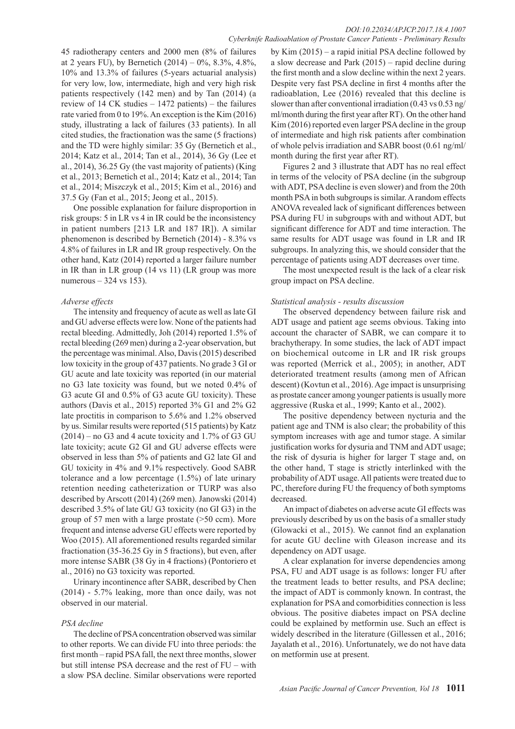45 radiotherapy centers and 2000 men (8% of failures at 2 years FU), by Bernetich  $(2014) - 0\%$ , 8.3%, 4.8%, 10% and 13.3% of failures (5-years actuarial analysis) for very low, low, intermediate, high and very high risk patients respectively (142 men) and by Tan (2014) (a review of 14 CK studies – 1472 patients) – the failures rate varied from 0 to 19%. An exception is the Kim (2016) study, illustrating a lack of failures (33 patients). In all cited studies, the fractionation was the same (5 fractions) and the TD were highly similar: 35 Gy (Bernetich et al., 2014; Katz et al., 2014; Tan et al., 2014), 36 Gy (Lee et al., 2014), 36.25 Gy (the vast majority of patients) (King et al., 2013; Bernetich et al., 2014; Katz et al., 2014; Tan et al., 2014; Miszczyk et al., 2015; Kim et al., 2016) and 37.5 Gy (Fan et al., 2015; Jeong et al., 2015).

One possible explanation for failure disproportion in risk groups: 5 in LR vs 4 in IR could be the inconsistency in patient numbers [213 LR and 187 IR]). A similar phenomenon is described by Bernetich (2014) - 8.3% vs 4.8% of failures in LR and IR group respectively. On the other hand, Katz (2014) reported a larger failure number in IR than in LR group (14 vs 11) (LR group was more numerous – 324 vs 153).

## *Adverse effects*

The intensity and frequency of acute as well as late GI and GU adverse effects were low. None of the patients had rectal bleeding. Admittedly, Joh (2014) reported 1.5% of rectal bleeding (269 men) during a 2-year observation, but the percentage was minimal. Also, Davis (2015) described low toxicity in the group of 437 patients. No grade 3 GI or GU acute and late toxicity was reported (in our material no G3 late toxicity was found, but we noted 0.4% of G3 acute GI and 0.5% of G3 acute GU toxicity). These authors (Davis et al., 2015) reported 3% G1 and 2% G2 late proctitis in comparison to 5.6% and 1.2% observed by us. Similar results were reported (515 patients) by Katz  $(2014)$  – no G3 and 4 acute toxicity and 1.7% of G3 GU late toxicity; acute G2 GI and GU adverse effects were observed in less than 5% of patients and G2 late GI and GU toxicity in 4% and 9.1% respectively. Good SABR tolerance and a low percentage (1.5%) of late urinary retention needing catheterization or TURP was also described by Arscott (2014) (269 men). Janowski (2014) described 3.5% of late GU G3 toxicity (no GI G3) in the group of 57 men with a large prostate (>50 ccm). More frequent and intense adverse GU effects were reported by Woo (2015). All aforementioned results regarded similar fractionation (35-36.25 Gy in 5 fractions), but even, after more intense SABR (38 Gy in 4 fractions) (Pontoriero et al., 2016) no G3 toxicity was reported.

Urinary incontinence after SABR, described by Chen (2014) - 5.7% leaking, more than once daily, was not observed in our material.

## *PSA decline*

The decline of PSA concentration observed was similar to other reports. We can divide FU into three periods: the first month – rapid PSA fall, the next three months, slower but still intense PSA decrease and the rest of FU – with a slow PSA decline. Similar observations were reported

by Kim (2015) – a rapid initial PSA decline followed by a slow decrease and Park (2015) – rapid decline during the first month and a slow decline within the next 2 years. Despite very fast PSA decline in first 4 months after the radioablation, Lee (2016) revealed that this decline is slower than after conventional irradiation (0.43 vs 0.53 ng/ ml/month during the first year after RT). On the other hand Kim (2016) reported even larger PSA decline in the group of intermediate and high risk patients after combination of whole pelvis irradiation and SABR boost (0.61 ng/ml/ month during the first year after RT).

Figures 2 and 3 illustrate that ADT has no real effect in terms of the velocity of PSA decline (in the subgroup with ADT, PSA decline is even slower) and from the 20th month PSA in both subgroups is similar. A random effects ANOVA revealed lack of significant differences between PSA during FU in subgroups with and without ADT, but significant difference for ADT and time interaction. The same results for ADT usage was found in LR and IR subgroups. In analyzing this, we should consider that the percentage of patients using ADT decreases over time.

The most unexpected result is the lack of a clear risk group impact on PSA decline.

## *Statistical analysis - results discussion*

The observed dependency between failure risk and ADT usage and patient age seems obvious. Taking into account the character of SABR, we can compare it to brachytherapy. In some studies, the lack of ADT impact on biochemical outcome in LR and IR risk groups was reported (Merrick et al., 2005); in another, ADT deteriorated treatment results (among men of African descent) (Kovtun et al., 2016). Age impact is unsurprising as prostate cancer among younger patients is usually more aggressive (Ruska et al., 1999; Kanto et al., 2002).

The positive dependency between nycturia and the patient age and TNM is also clear; the probability of this symptom increases with age and tumor stage. A similar justification works for dysuria and TNM and ADT usage; the risk of dysuria is higher for larger T stage and, on the other hand, T stage is strictly interlinked with the probability of ADT usage. All patients were treated due to PC, therefore during FU the frequency of both symptoms decreased.

An impact of diabetes on adverse acute GI effects was previously described by us on the basis of a smaller study (Glowacki et al., 2015). We cannot find an explanation for acute GU decline with Gleason increase and its dependency on ADT usage.

A clear explanation for inverse dependencies among PSA, FU and ADT usage is as follows: longer FU after the treatment leads to better results, and PSA decline; the impact of ADT is commonly known. In contrast, the explanation for PSA and comorbidities connection is less obvious. The positive diabetes impact on PSA decline could be explained by metformin use. Such an effect is widely described in the literature (Gillessen et al., 2016; Jayalath et al., 2016). Unfortunately, we do not have data on metformin use at present.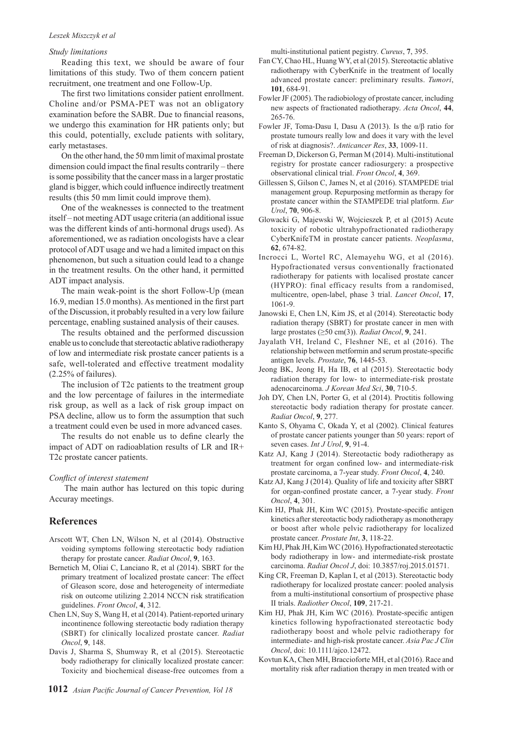#### *Leszek Miszczyk et al*

#### *Study limitations*

Reading this text, we should be aware of four limitations of this study. Two of them concern patient recruitment, one treatment and one Follow-Up.

The first two limitations consider patient enrollment. Choline and/or PSMA-PET was not an obligatory examination before the SABR. Due to financial reasons, we undergo this examination for HR patients only; but this could, potentially, exclude patients with solitary, early metastases.

On the other hand, the 50 mm limit of maximal prostate dimension could impact the final results contrarily – there is some possibility that the cancer mass in a larger prostatic gland is bigger, which could influence indirectly treatment results (this 50 mm limit could improve them).

One of the weaknesses is connected to the treatment itself – not meeting ADT usage criteria (an additional issue was the different kinds of anti-hormonal drugs used). As aforementioned, we as radiation oncologists have a clear protocol of ADT usage and we had a limited impact on this phenomenon, but such a situation could lead to a change in the treatment results. On the other hand, it permitted ADT impact analysis.

The main weak-point is the short Follow-Up (mean 16.9, median 15.0 months). As mentioned in the first part of the Discussion, it probably resulted in a very low failure percentage, enabling sustained analysis of their causes.

The results obtained and the performed discussion enable us to conclude that stereotactic ablative radiotherapy of low and intermediate risk prostate cancer patients is a safe, well-tolerated and effective treatment modality (2.25% of failures).

The inclusion of T2c patients to the treatment group and the low percentage of failures in the intermediate risk group, as well as a lack of risk group impact on PSA decline, allow us to form the assumption that such a treatment could even be used in more advanced cases.

The results do not enable us to define clearly the impact of ADT on radioablation results of LR and IR+ T2c prostate cancer patients.

#### *Conflict of interest statement*

 The main author has lectured on this topic during Accuray meetings.

## **References**

- Arscott WT, Chen LN, Wilson N, et al (2014). Obstructive voiding symptoms following stereotactic body radiation therapy for prostate cancer. *Radiat Oncol*, **9**, 163.
- Bernetich M, Oliai C, Lanciano R, et al (2014). SBRT for the primary treatment of localized prostate cancer: The effect of Gleason score, dose and heterogeneity of intermediate risk on outcome utilizing 2.2014 NCCN risk stratification guidelines. *Front Oncol*, **4**, 312.
- Chen LN, Suy S, Wang H, et al (2014). Patient-reported urinary incontinence following stereotactic body radiation therapy (SBRT) for clinically localized prostate cancer. *Radiat Oncol*, **9**, 148.
- Davis J, Sharma S, Shumway R, et al (2015). Stereotactic body radiotherapy for clinically localized prostate cancer: Toxicity and biochemical disease-free outcomes from a

multi-institutional patient pegistry. *Cureus*, **7**, 395.

- Fan CY, Chao HL, Huang WY, et al (2015). Stereotactic ablative radiotherapy with CyberKnife in the treatment of locally advanced prostate cancer: preliminary results. *Tumori*, **101**, 684-91.
- Fowler JF (2005). The radiobiology of prostate cancer, including new aspects of fractionated radiotherapy. *Acta Oncol*, **44**, 265-76.
- Fowler JF, Toma-Dasu I, Dasu A (2013). Is the α/β ratio for prostate tumours really low and does it vary with the level of risk at diagnosis?. *Anticancer Res*, **33**, 1009-11.
- Freeman D, Dickerson G, Perman M (2014). Multi-institutional registry for prostate cancer radiosurgery: a prospective observational clinical trial. *Front Oncol*, **4**, 369.
- Gillessen S, Gilson C, James N, et al (2016). STAMPEDE trial management group. Repurposing metformin as therapy for prostate cancer within the STAMPEDE trial platform. *Eur Urol*, **70**, 906-8.
- Glowacki G, Majewski W, Wojcieszek P, et al (2015) Acute toxicity of robotic ultrahypofractionated radiotherapy CyberKnifeTM in prostate cancer patients. *Neoplasma*, **62**, 674-82.
- Incrocci L, Wortel RC, Alemayehu WG, et al (2016). Hypofractionated versus conventionally fractionated radiotherapy for patients with localised prostate cancer (HYPRO): final efficacy results from a randomised, multicentre, open-label, phase 3 trial. *Lancet Oncol*, **17**, 1061-9.
- Janowski E, Chen LN, Kim JS, et al (2014). Stereotactic body radiation therapy (SBRT) for prostate cancer in men with large prostates (≥50 cm(3)). *Radiat Oncol*, **9**, 241.
- Jayalath VH, Ireland C, Fleshner NE, et al (2016). The relationship between metformin and serum prostate-specific antigen levels. *Prostate*, **76**, 1445-53.
- Jeong BK, Jeong H, Ha IB, et al (2015). Stereotactic body radiation therapy for low- to intermediate-risk prostate adenocarcinoma. *J Korean Med Sci*, **30**, 710-5.
- Joh DY, Chen LN, Porter G, et al (2014). Proctitis following stereotactic body radiation therapy for prostate cancer. *Radiat Oncol*, **9**, 277.
- Kanto S, Ohyama C, Okada Y, et al (2002). Clinical features of prostate cancer patients younger than 50 years: report of seven cases. *Int J Urol*, **9**, 91-4.
- Katz AJ, Kang J (2014). Stereotactic body radiotherapy as treatment for organ confined low- and intermediate-risk prostate carcinoma, a 7-year study. *Front Oncol*, **4**, 240.
- Katz AJ, Kang J (2014). Quality of life and toxicity after SBRT for organ-confined prostate cancer, a 7-year study. *Front Oncol*, **4**, 301.
- Kim HJ, Phak JH, Kim WC (2015). Prostate-specific antigen kinetics after stereotactic body radiotherapy as monotherapy or boost after whole pelvic radiotherapy for localized prostate cancer. *Prostate Int*, **3**, 118-22.
- Kim HJ, Phak JH, Kim WC (2016). Hypofractionated stereotactic body radiotherapy in low- and intermediate-risk prostate carcinoma. *Radiat Oncol J*, doi: 10.3857/roj.2015.01571.
- King CR, Freeman D, Kaplan I, et al (2013). Stereotactic body radiotherapy for localized prostate cancer: pooled analysis from a multi-institutional consortium of prospective phase II trials. *Radiother Oncol*, **109**, 217-21.
- Kim HJ, Phak JH, Kim WC (2016). Prostate-specific antigen kinetics following hypofractionated stereotactic body radiotherapy boost and whole pelvic radiotherapy for intermediate- and high-risk prostate cancer. *Asia Pac J Clin Oncol*, doi: 10.1111/ajco.12472.
- Kovtun KA, Chen MH, Braccioforte MH, et al (2016). Race and mortality risk after radiation therapy in men treated with or